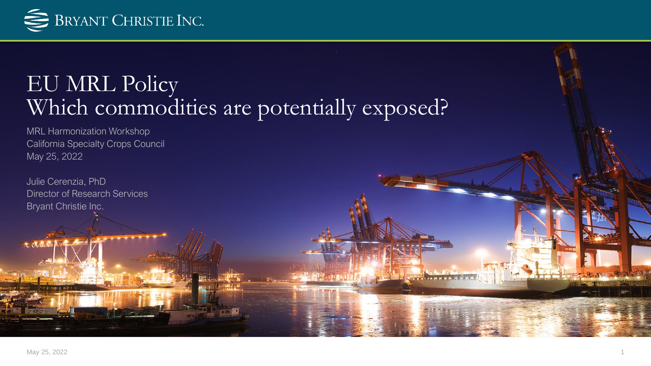

## EU MRL Policy Which commodities are potentially exposed?

MRL Harmonization Workshop California Specialty Crops Council May 25, 2022

Julie Cerenzia, PhD Director of Research Services Bryant Christie Inc.

totul

**The Month of the Company**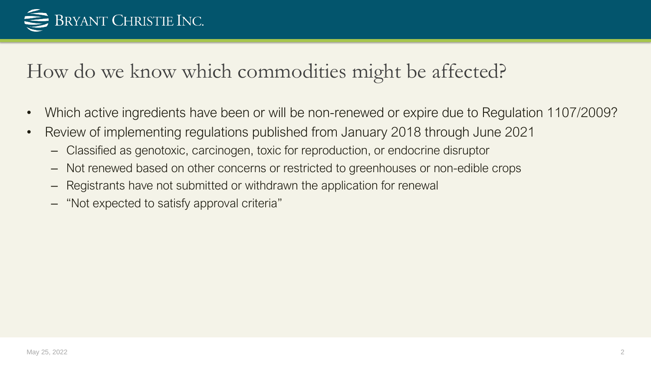

#### How do we know which commodities might be affected?

- Which active ingredients have been or will be non-renewed or expire due to Regulation 1107/2009?
- Review of implementing regulations published from January 2018 through June 2021
	- Classified as genotoxic, carcinogen, toxic for reproduction, or endocrine disruptor
	- Not renewed based on other concerns or restricted to greenhouses or non-edible crops
	- Registrants have not submitted or withdrawn the application for renewal
	- "Not expected to satisfy approval criteria"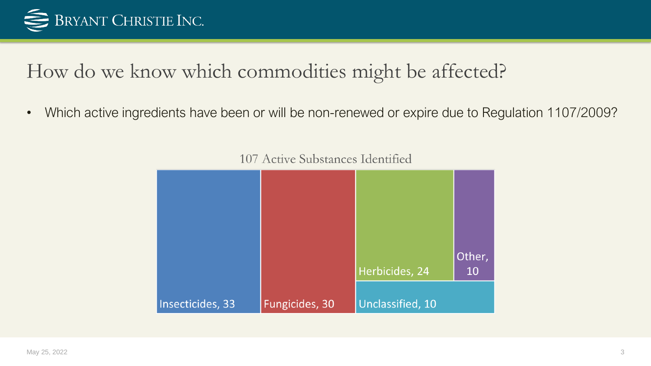

#### How do we know which commodities might be affected?

• Which active ingredients have been or will be non-renewed or expire due to Regulation 1107/2009?



107 Active Substances Identified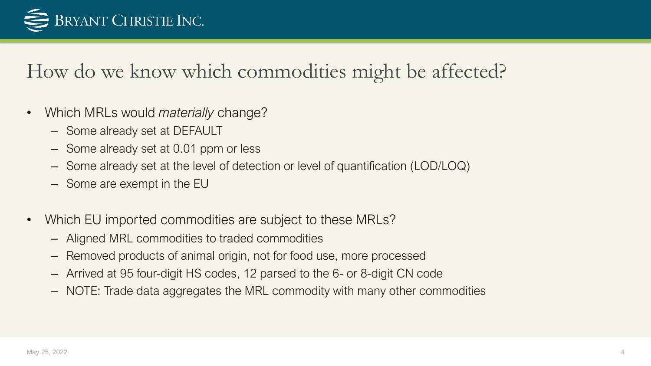

#### How do we know which commodities might be affected?

- Which MRLs would *materially* change?
	- Some already set at DEFAULT
	- Some already set at 0.01 ppm or less
	- Some already set at the level of detection or level of quantification (LOD/LOQ)
	- Some are exempt in the EU
- Which EU imported commodities are subject to these MRLs?
	- Aligned MRL commodities to traded commodities
	- Removed products of animal origin, not for food use, more processed
	- Arrived at 95 four-digit HS codes, 12 parsed to the 6- or 8-digit CN code
	- NOTE: Trade data aggregates the MRL commodity with many other commodities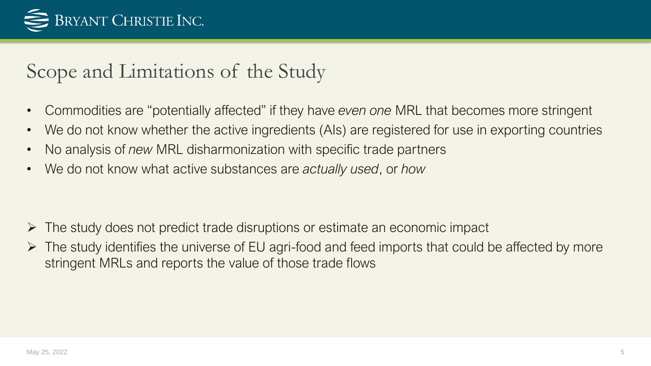

### Scope and Limitations of the Study

- Commodities are "potentially affected" if they have *even one* MRL that becomes more stringent
- We do not know whether the active ingredients (AIs) are registered for use in exporting countries
- No analysis of *new* MRL disharmonization with specific trade partners
- We do not know what active substances are *actually used*, or *how*

- ➢ The study does not predict trade disruptions or estimate an economic impact
- ➢ The study identifies the universe of EU agri-food and feed imports that could be affected by more stringent MRLs and reports the value of those trade flows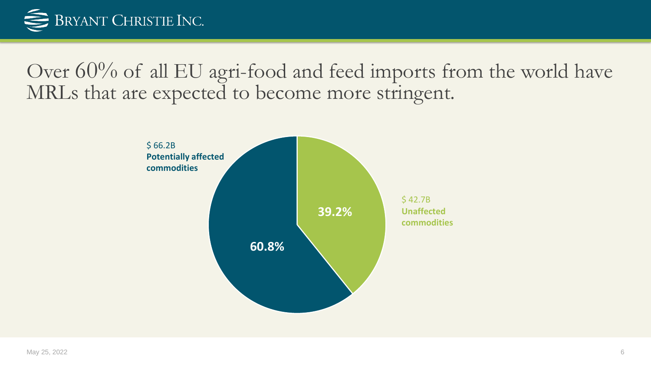

Over 60% of all EU agri-food and feed imports from the world have MRLs that are expected to become more stringent.

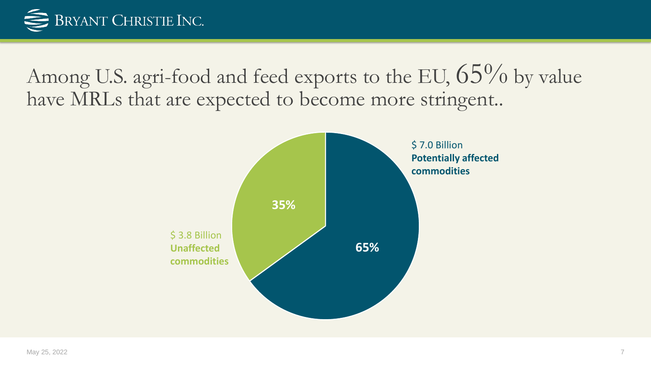

Among U.S. agri-food and feed exports to the EU,  $65\%$  by value have MRLs that are expected to become more stringent..

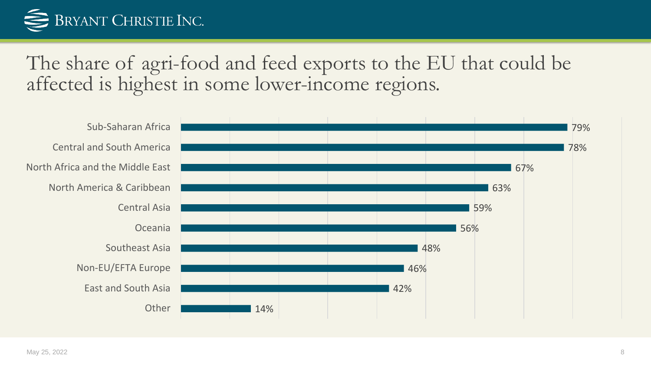# BRYANT CHRISTIE INC.

The share of agri-food and feed exports to the EU that could be affected is highest in some lower-income regions.

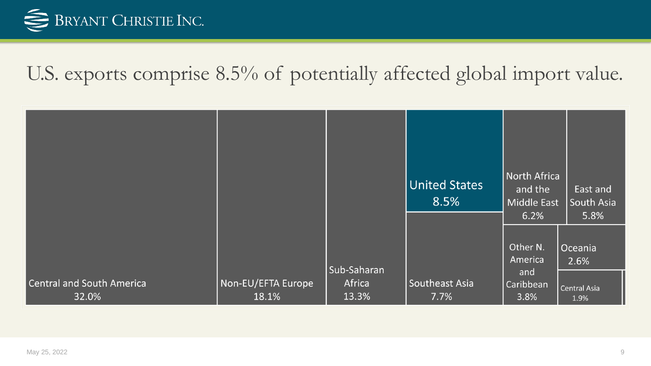

#### U.S. exports comprise 8.5% of potentially affected global import value.

|                                           |                             |                                | United States<br>8.5%  | North Africa<br>and the<br><b>Middle East</b><br>6.2% | East and<br>South Asia<br>5.8%          |
|-------------------------------------------|-----------------------------|--------------------------------|------------------------|-------------------------------------------------------|-----------------------------------------|
| <b>Central and South America</b><br>32.0% | Non-EU/EFTA Europe<br>18.1% | Sub-Saharan<br>Africa<br>13.3% | Southeast Asia<br>7.7% | Other N.<br>America<br>and<br>Caribbean<br>3.8%       | Oceania<br>2.6%<br>Central Asia<br>1.9% |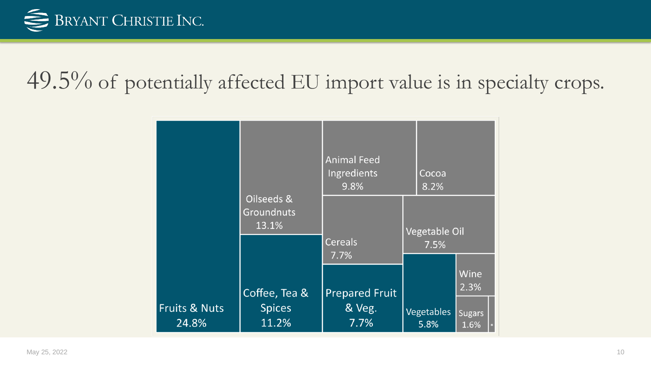

## 49.5% of potentially affected EU import value is in specialty crops.

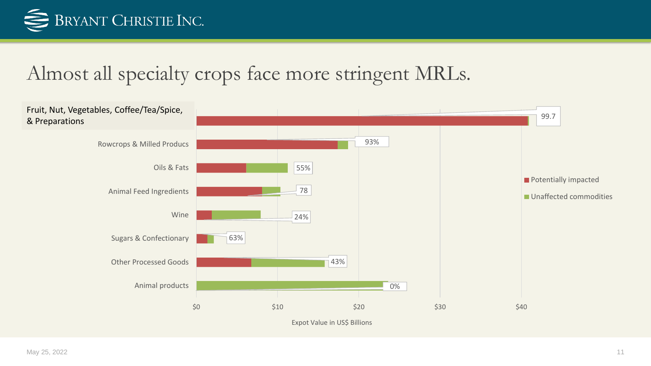

#### Almost all specialty crops face more stringent MRLs.

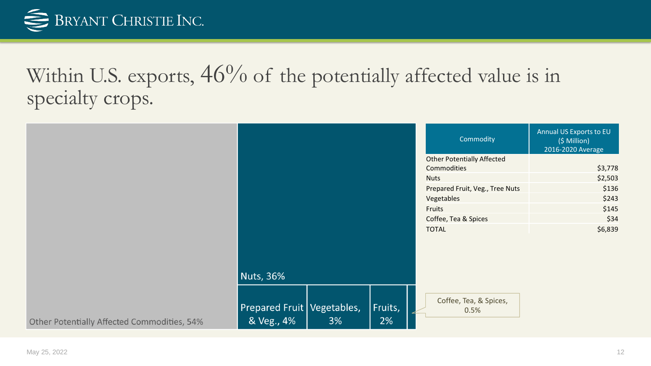

## Within U.S. exports,  $46\%$  of the potentially affected value is in specialty crops.

|                                             |                                            |    |               | Commodity                                        | Annual US Exports to EU<br>(\$ Million)<br>2016-2020 Average |
|---------------------------------------------|--------------------------------------------|----|---------------|--------------------------------------------------|--------------------------------------------------------------|
|                                             |                                            |    |               | <b>Other Potentially Affected</b><br>Commodities | \$3,778                                                      |
|                                             |                                            |    |               | <b>Nuts</b>                                      | \$2,503                                                      |
|                                             |                                            |    |               | Prepared Fruit, Veg., Tree Nuts                  | \$136                                                        |
|                                             |                                            |    |               | Vegetables                                       | \$243                                                        |
|                                             |                                            |    |               | Fruits                                           | \$145                                                        |
|                                             |                                            |    |               | Coffee, Tea & Spices                             | \$34                                                         |
|                                             |                                            |    |               | <b>TOTAL</b>                                     | \$6,839                                                      |
|                                             | <b>Nuts, 36%</b>                           |    |               |                                                  |                                                              |
| Other Potentially Affected Commodities, 54% | Prepared Fruit   Vegetables,<br>& Veg., 4% | 3% | Fruits,<br>2% | Coffee, Tea, & Spices,<br>0.5%                   |                                                              |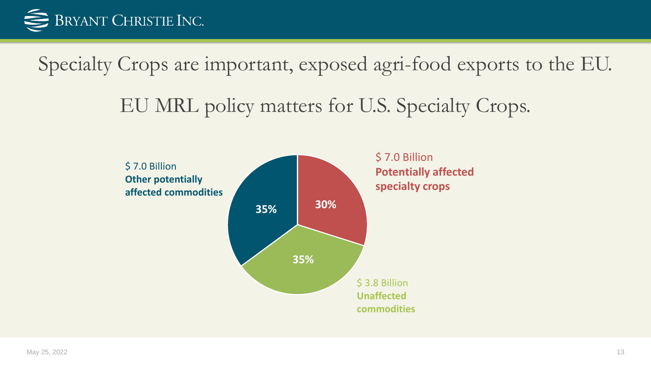

Specialty Crops are important, exposed agri-food exports to the EU.

EU MRL policy matters for U.S. Specialty Crops.

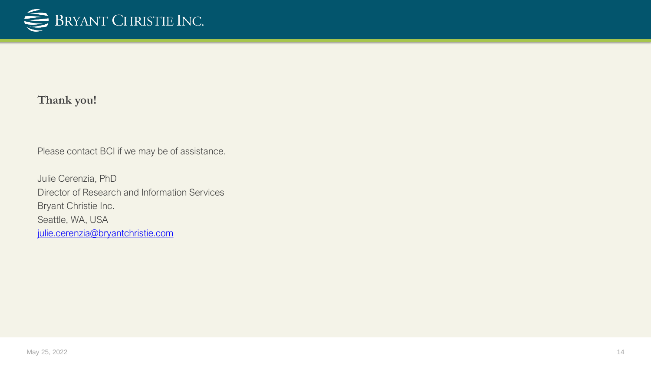

#### **Thank you!**

Please contact BCI if we may be of assistance.

Julie Cerenzia, PhD Director of Research and Information Services Bryant Christie Inc. Seattle, WA, USA [julie.cerenzia@bryantchristie.com](mailto:Julie.Cerenzia@bryantchristie.com)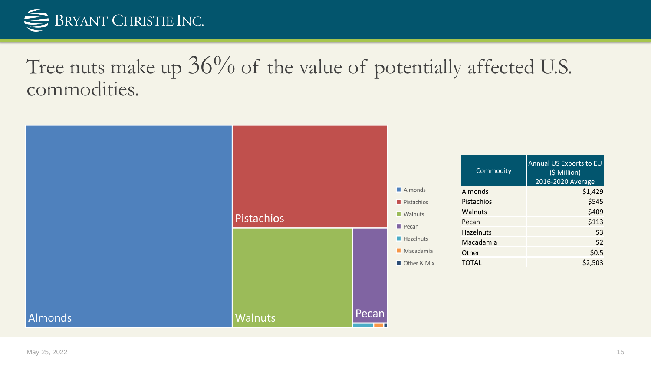

Tree nuts make up  $36\%$  of the value of potentially affected U.S. commodities.

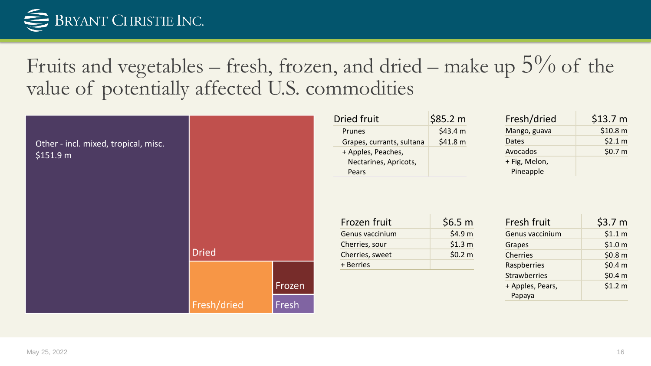

Fruits and vegetables – fresh, frozen, and dried – make up  $5\%$  of the value of potentially affected U.S. commodities



| Dried fruit               | \$85.2 m |
|---------------------------|----------|
| Prunes                    | \$43.4 m |
| Grapes, currants, sultana | \$41.8 m |
| + Apples, Peaches,        |          |
| Nectarines, Apricots,     |          |
| Pears                     |          |

| Fresh/dried   | \$13.7 m |
|---------------|----------|
| Mango, guava  | \$10.8 m |
| Dates         | \$2.1 m  |
| Avocados      | \$0.7 m  |
| + Fig, Melon, |          |
| Pineapple     |          |

| Frozen fruit    | \$6.5 m            |
|-----------------|--------------------|
| Genus vaccinium | \$4.9 <sub>m</sub> |
| Cherries, sour  | \$1.3 m            |
| Cherries, sweet | \$0.2 m            |
| + Berries       |                    |
|                 |                    |

| Fresh fruit         | \$3.7 <sub>m</sub> |
|---------------------|--------------------|
| Genus vaccinium     | \$1.1 m            |
| Grapes              | \$1.0 <sub>m</sub> |
| <b>Cherries</b>     | \$0.8 <sub>m</sub> |
| Raspberries         | \$0.4 m            |
| <b>Strawberries</b> | \$0.4 m            |
| + Apples, Pears,    | \$1.2 m            |
| Papaya              |                    |